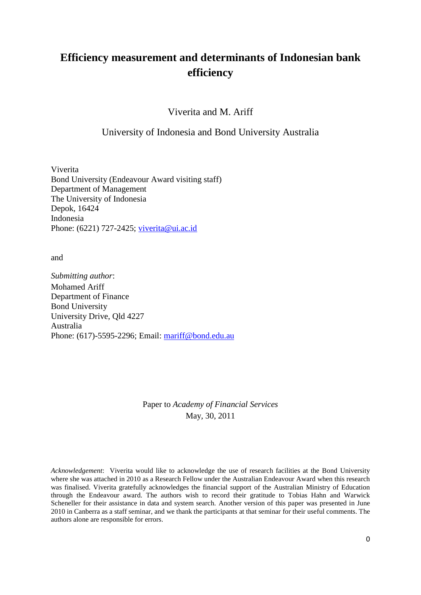# **Efficiency measurement and determinants of Indonesian bank efficiency**

Viverita and M. Ariff

# University of Indonesia and Bond University Australia

Viverita Bond University (Endeavour Award visiting staff) Department of Management The University of Indonesia Depok, 16424 Indonesia Phone: (6221) 727-2425; [viverita@ui.ac.id](mailto:viverita@ui.ac.id)

and

*Submitting author*: Mohamed Ariff Department of Finance Bond University University Drive, Qld 4227 Australia Phone: (617)-5595-2296; Email: [mariff@bond.edu.au](mailto:mariff@bond.edu.au)

> Paper to *Academy of Financial Services* May, 30, 2011

*Acknowledgement*: Viverita would like to acknowledge the use of research facilities at the Bond University where she was attached in 2010 as a Research Fellow under the Australian Endeavour Award when this research was finalised. Viverita gratefully acknowledges the financial support of the Australian Ministry of Education through the Endeavour award. The authors wish to record their gratitude to Tobias Hahn and Warwick Scheneller for their assistance in data and system search. Another version of this paper was presented in June 2010 in Canberra as a staff seminar, and we thank the participants at that seminar for their useful comments. The authors alone are responsible for errors.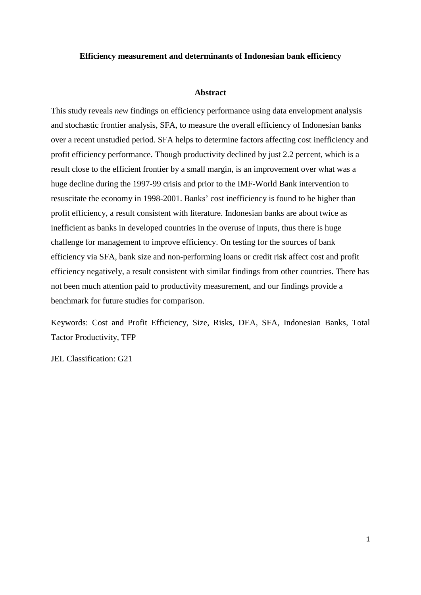### **Efficiency measurement and determinants of Indonesian bank efficiency**

#### **Abstract**

This study reveals *new* findings on efficiency performance using data envelopment analysis and stochastic frontier analysis, SFA, to measure the overall efficiency of Indonesian banks over a recent unstudied period. SFA helps to determine factors affecting cost inefficiency and profit efficiency performance. Though productivity declined by just 2.2 percent, which is a result close to the efficient frontier by a small margin, is an improvement over what was a huge decline during the 1997-99 crisis and prior to the IMF-World Bank intervention to resuscitate the economy in 1998-2001. Banks' cost inefficiency is found to be higher than profit efficiency, a result consistent with literature. Indonesian banks are about twice as inefficient as banks in developed countries in the overuse of inputs, thus there is huge challenge for management to improve efficiency. On testing for the sources of bank efficiency via SFA, bank size and non-performing loans or credit risk affect cost and profit efficiency negatively, a result consistent with similar findings from other countries. There has not been much attention paid to productivity measurement, and our findings provide a benchmark for future studies for comparison.

Keywords: Cost and Profit Efficiency, Size, Risks, DEA, SFA, Indonesian Banks, Total Tactor Productivity, TFP

JEL Classification: G21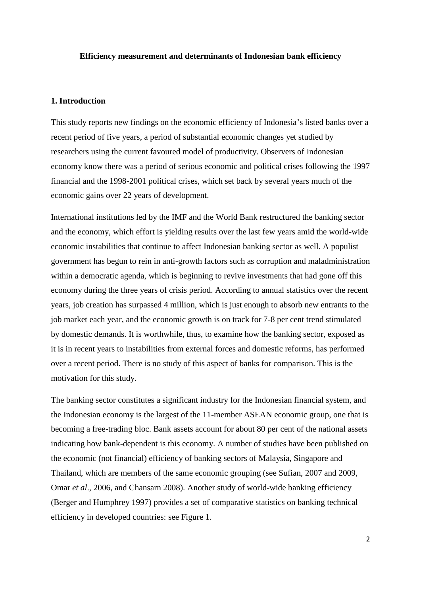### **Efficiency measurement and determinants of Indonesian bank efficiency**

### **1. Introduction**

This study reports new findings on the economic efficiency of Indonesia's listed banks over a recent period of five years, a period of substantial economic changes yet studied by researchers using the current favoured model of productivity. Observers of Indonesian economy know there was a period of serious economic and political crises following the 1997 financial and the 1998-2001 political crises, which set back by several years much of the economic gains over 22 years of development.

International institutions led by the IMF and the World Bank restructured the banking sector and the economy, which effort is yielding results over the last few years amid the world-wide economic instabilities that continue to affect Indonesian banking sector as well. A populist government has begun to rein in anti-growth factors such as corruption and maladministration within a democratic agenda, which is beginning to revive investments that had gone off this economy during the three years of crisis period. According to annual statistics over the recent years, job creation has surpassed 4 million, which is just enough to absorb new entrants to the job market each year, and the economic growth is on track for 7-8 per cent trend stimulated by domestic demands. It is worthwhile, thus, to examine how the banking sector, exposed as it is in recent years to instabilities from external forces and domestic reforms, has performed over a recent period. There is no study of this aspect of banks for comparison. This is the motivation for this study.

The banking sector constitutes a significant industry for the Indonesian financial system, and the Indonesian economy is the largest of the 11-member ASEAN economic group, one that is becoming a free-trading bloc. Bank assets account for about 80 per cent of the national assets indicating how bank-dependent is this economy. A number of studies have been published on the economic (not financial) efficiency of banking sectors of Malaysia, Singapore and Thailand, which are members of the same economic grouping (see Sufian, 2007 and 2009, Omar *et al*., 2006, and Chansarn 2008). Another study of world-wide banking efficiency (Berger and Humphrey 1997) provides a set of comparative statistics on banking technical efficiency in developed countries: see Figure 1.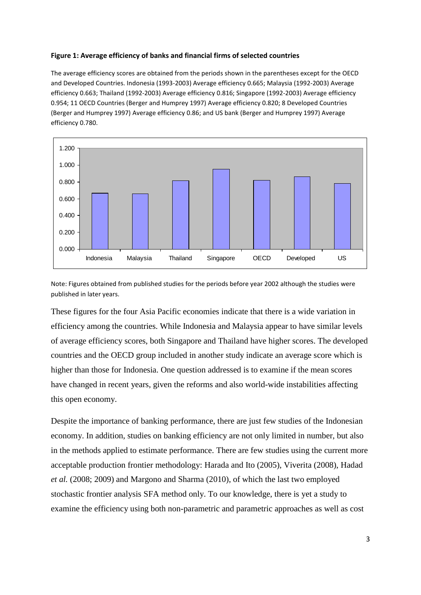#### **Figure 1: Average efficiency of banks and financial firms of selected countries**

The average efficiency scores are obtained from the periods shown in the parentheses except for the OECD and Developed Countries. Indonesia (1993-2003) Average efficiency 0.665; Malaysia (1992-2003) Average efficiency 0.663; Thailand (1992-2003) Average efficiency 0.816; Singapore (1992-2003) Average efficiency 0.954; 11 OECD Countries (Berger and Humprey 1997) Average efficiency 0.820; 8 Developed Countries (Berger and Humprey 1997) Average efficiency 0.86; and US bank (Berger and Humprey 1997) Average efficiency 0.780.



Note: Figures obtained from published studies for the periods before year 2002 although the studies were published in later years.

These figures for the four Asia Pacific economies indicate that there is a wide variation in efficiency among the countries. While Indonesia and Malaysia appear to have similar levels of average efficiency scores, both Singapore and Thailand have higher scores. The developed countries and the OECD group included in another study indicate an average score which is higher than those for Indonesia. One question addressed is to examine if the mean scores have changed in recent years, given the reforms and also world-wide instabilities affecting this open economy.

Despite the importance of banking performance, there are just few studies of the Indonesian economy. In addition, studies on banking efficiency are not only limited in number, but also in the methods applied to estimate performance. There are few studies using the current more acceptable production frontier methodology: Harada and Ito (2005), Viverita (2008), Hadad *et al.* (2008; 2009) and Margono and Sharma (2010), of which the last two employed stochastic frontier analysis SFA method only. To our knowledge, there is yet a study to examine the efficiency using both non-parametric and parametric approaches as well as cost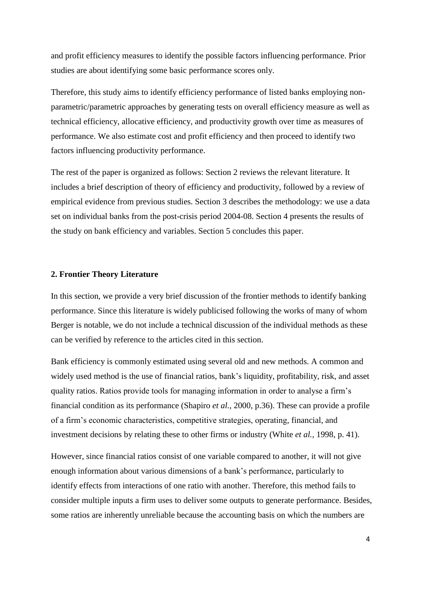and profit efficiency measures to identify the possible factors influencing performance. Prior studies are about identifying some basic performance scores only.

Therefore, this study aims to identify efficiency performance of listed banks employing nonparametric/parametric approaches by generating tests on overall efficiency measure as well as technical efficiency, allocative efficiency, and productivity growth over time as measures of performance. We also estimate cost and profit efficiency and then proceed to identify two factors influencing productivity performance.

The rest of the paper is organized as follows: Section 2 reviews the relevant literature. It includes a brief description of theory of efficiency and productivity, followed by a review of empirical evidence from previous studies. Section 3 describes the methodology: we use a data set on individual banks from the post-crisis period 2004-08. Section 4 presents the results of the study on bank efficiency and variables. Section 5 concludes this paper.

# **2. Frontier Theory Literature**

In this section, we provide a very brief discussion of the frontier methods to identify banking performance. Since this literature is widely publicised following the works of many of whom Berger is notable, we do not include a technical discussion of the individual methods as these can be verified by reference to the articles cited in this section.

Bank efficiency is commonly estimated using several old and new methods. A common and widely used method is the use of financial ratios, bank's liquidity, profitability, risk, and asset quality ratios. Ratios provide tools for managing information in order to analyse a firm's financial condition as its performance (Shapiro *et al.*, 2000, p.36). These can provide a profile of a firm's economic characteristics, competitive strategies, operating, financial, and investment decisions by relating these to other firms or industry (White *et al.*, 1998, p. 41).

However, since financial ratios consist of one variable compared to another, it will not give enough information about various dimensions of a bank's performance, particularly to identify effects from interactions of one ratio with another. Therefore, this method fails to consider multiple inputs a firm uses to deliver some outputs to generate performance. Besides, some ratios are inherently unreliable because the accounting basis on which the numbers are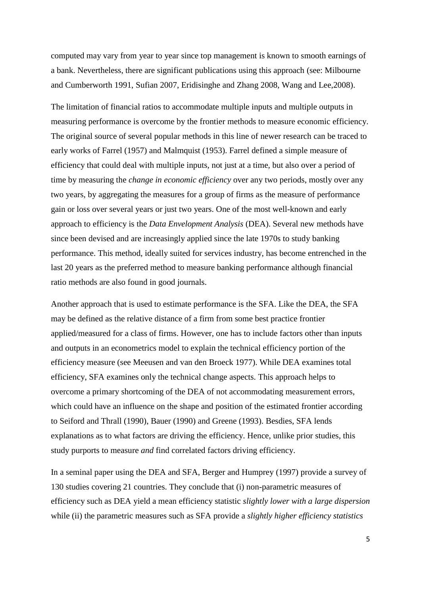computed may vary from year to year since top management is known to smooth earnings of a bank. Nevertheless, there are significant publications using this approach (see: Milbourne and Cumberworth 1991, Sufian 2007, Eridisinghe and Zhang 2008, Wang and Lee,2008).

The limitation of financial ratios to accommodate multiple inputs and multiple outputs in measuring performance is overcome by the frontier methods to measure economic efficiency. The original source of several popular methods in this line of newer research can be traced to early works of Farrel (1957) and Malmquist (1953). Farrel defined a simple measure of efficiency that could deal with multiple inputs, not just at a time, but also over a period of time by measuring the *change in economic efficiency* over any two periods, mostly over any two years, by aggregating the measures for a group of firms as the measure of performance gain or loss over several years or just two years. One of the most well-known and early approach to efficiency is the *Data Envelopment Analysis* (DEA). Several new methods have since been devised and are increasingly applied since the late 1970s to study banking performance. This method, ideally suited for services industry, has become entrenched in the last 20 years as the preferred method to measure banking performance although financial ratio methods are also found in good journals.

Another approach that is used to estimate performance is the SFA. Like the DEA, the SFA may be defined as the relative distance of a firm from some best practice frontier applied/measured for a class of firms. However, one has to include factors other than inputs and outputs in an econometrics model to explain the technical efficiency portion of the efficiency measure (see Meeusen and van den Broeck 1977). While DEA examines total efficiency, SFA examines only the technical change aspects. This approach helps to overcome a primary shortcoming of the DEA of not accommodating measurement errors, which could have an influence on the shape and position of the estimated frontier according to Seiford and Thrall (1990), Bauer (1990) and Greene (1993). Besdies, SFA lends explanations as to what factors are driving the efficiency. Hence, unlike prior studies, this study purports to measure *and* find correlated factors driving efficiency.

In a seminal paper using the DEA and SFA, Berger and Humprey (1997) provide a survey of 130 studies covering 21 countries. They conclude that (i) non-parametric measures of efficiency such as DEA yield a mean efficiency statistic *slightly lower with a large dispersion* while (ii) the parametric measures such as SFA provide a *slightly higher efficiency statistics*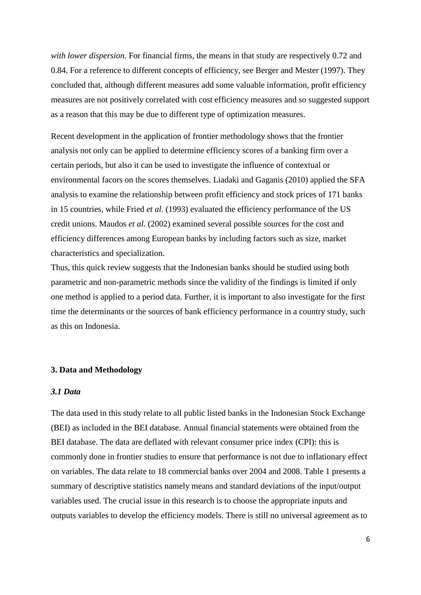*with lower dispersion*. For financial firms, the means in that study are respectively 0.72 and 0.84. For a reference to different concepts of efficiency, see Berger and Mester (1997). They concluded that, although different measures add some valuable information, profit efficiency measures are not positively correlated with cost efficiency measures and so suggested support as a reason that this may be due to different type of optimization measures.

Recent development in the application of frontier methodology shows that the frontier analysis not only can be applied to determine efficiency scores of a banking firm over a certain periods, but also it can be used to investigate the influence of contextual or environmental facors on the scores themselves. Liadaki and Gaganis (2010) applied the SFA analysis to examine the relationship between profit efficiency and stock prices of 171 banks in 15 countries, while Fried *et al*. (1993) evaluated the efficiency performance of the US credit unions. Maudos *et al.* (2002) examined several possible sources for the cost and efficiency differences among European banks by including factors such as size, market characteristics and specialization.

Thus, this quick review suggests that the Indonesian banks should be studied using both parametric and non-parametric methods since the validity of the findings is limited if only one method is applied to a period data. Further, it is important to also investigate for the first time the determinants or the sources of bank efficiency performance in a country study, such as this on Indonesia.

# **3. Data and Methodology**

# *3.1 Data*

The data used in this study relate to all public listed banks in the Indonesian Stock Exchange (BEI) as included in the BEI database. Annual financial statements were obtained from the BEI database. The data are deflated with relevant consumer price index (CPI): this is commonly done in frontier studies to ensure that performance is not due to inflationary effect on variables. The data relate to 18 commercial banks over 2004 and 2008. Table 1 presents a summary of descriptive statistics namely means and standard deviations of the input/output variables used. The crucial issue in this research is to choose the appropriate inputs and outputs variables to develop the efficiency models. There is still no universal agreement as to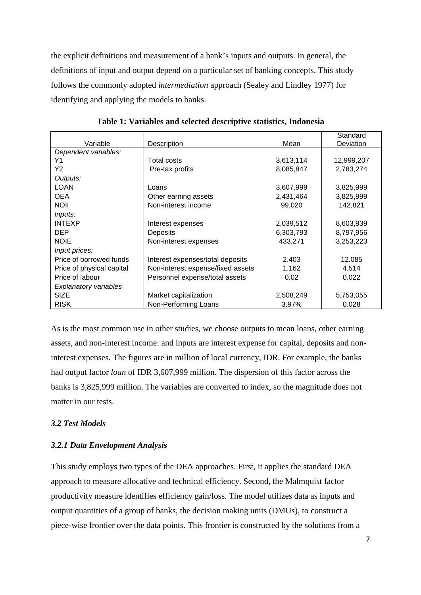the explicit definitions and measurement of a bank's inputs and outputs. In general, the definitions of input and output depend on a particular set of banking concepts. This study follows the commonly adopted *intermediation* approach (Sealey and Lindley 1977) for identifying and applying the models to banks.

|                              |                                   |           | Standard         |
|------------------------------|-----------------------------------|-----------|------------------|
| Variable                     | Description                       | Mean      | <b>Deviation</b> |
| Dependent variables:         |                                   |           |                  |
| Υ1                           | Total costs                       | 3,613,114 | 12,999,207       |
| Y2                           | Pre-tax profits                   | 8,085,847 | 2,783,274        |
| Outputs:                     |                                   |           |                  |
| <b>LOAN</b>                  | Loans                             | 3,607,999 | 3,825,999        |
| <b>OEA</b>                   | Other earning assets              | 2,431,464 | 3,825,999        |
| <b>NOII</b>                  | Non-interest income               | 99,020    | 142,821          |
| Inputs:                      |                                   |           |                  |
| <b>INTEXP</b>                | Interest expenses                 | 2,039,512 | 8,603,939        |
| <b>DEP</b>                   | Deposits                          | 6,303,793 | 8,797,956        |
| <b>NOIE</b>                  | Non-interest expenses             | 433,271   | 3,253,223        |
| Input prices:                |                                   |           |                  |
| Price of borrowed funds      | Interest expenses/total deposits  | 2.403     | 12.085           |
| Price of physical capital    | Non-interest expense/fixed assets | 1.162     | 4.514            |
| Price of labour              | Personnel expense/total assets    | 0.02      | 0.022            |
| <b>Explanatory variables</b> |                                   |           |                  |
| <b>SIZE</b>                  | Market capitalization             | 2,508,249 | 5,753,055        |
| <b>RISK</b>                  | Non-Performing Loans              | 3.97%     | 0.028            |

**Table 1: Variables and selected descriptive statistics, Indonesia**

As is the most common use in other studies, we choose outputs to mean loans, other earning assets, and non-interest income: and inputs are interest expense for capital, deposits and noninterest expenses. The figures are in million of local currency, IDR. For example, the banks had output factor *loan* of IDR 3,607,999 million. The dispersion of this factor across the banks is 3,825,999 million. The variables are converted to index, so the magnitude does not matter in our tests.

# *3.2 Test Models*

### *3.2.1 Data Envelopment Analysis*

This study employs two types of the DEA approaches. First, it applies the standard DEA approach to measure allocative and technical efficiency. Second, the Malmquist factor productivity measure identifies efficiency gain/loss. The model utilizes data as inputs and output quantities of a group of banks, the decision making units (DMUs), to construct a piece-wise frontier over the data points. This frontier is constructed by the solutions from a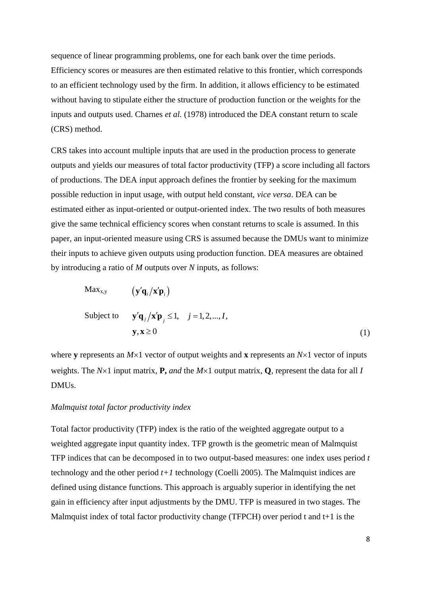sequence of linear programming problems, one for each bank over the time periods. Efficiency scores or measures are then estimated relative to this frontier, which corresponds to an efficient technology used by the firm. In addition, it allows efficiency to be estimated without having to stipulate either the structure of production function or the weights for the inputs and outputs used. Charnes *et al.* (1978) introduced the DEA constant return to scale (CRS) method.

CRS takes into account multiple inputs that are used in the production process to generate outputs and yields our measures of total factor productivity (TFP) a score including all factors of productions. The DEA input approach defines the frontier by seeking for the maximum possible reduction in input usage, with output held constant, *vice versa*. DEA can be estimated either as input-oriented or output-oriented index. The two results of both measures give the same technical efficiency scores when constant returns to scale is assumed. In this paper, an input-oriented measure using CRS is assumed because the DMUs want to minimize their inputs to achieve given outputs using production function. DEA measures are obtained by introducing a ratio of *M* outputs over *N* inputs, as follows:

$$
\begin{aligned}\n\text{Max}_{x,y} \qquad & \left( \mathbf{y}' \mathbf{q}_i / \mathbf{x}' \mathbf{p}_i \right) \\
\text{Subject to} \qquad & \mathbf{y}' \mathbf{q}_j / \mathbf{x}' \mathbf{p}_j \le 1, \quad j = 1, 2, \dots, I, \\
& \mathbf{y}, \mathbf{x} \ge 0\n\end{aligned} \tag{1}
$$

where **y** represents an  $M \times 1$  vector of output weights and **x** represents an  $N \times 1$  vector of inputs weights. The  $N \times 1$  input matrix, **P**, *and* the  $M \times 1$  output matrix, **Q**, represent the data for all *I* DMUs.

# *Malmquist total factor productivity index*

Total factor productivity (TFP) index is the ratio of the weighted aggregate output to a weighted aggregate input quantity index. TFP growth is the geometric mean of Malmquist TFP indices that can be decomposed in to two output-based measures: one index uses period *t* technology and the other period *t+1* technology (Coelli 2005). The Malmquist indices are defined using distance functions. This approach is arguably superior in identifying the net gain in efficiency after input adjustments by the DMU. TFP is measured in two stages. The Malmquist index of total factor productivity change (TFPCH) over period t and t+1 is the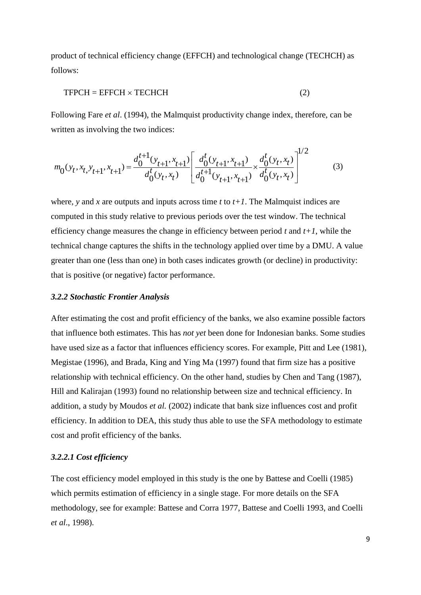product of technical efficiency change (EFFCH) and technological change (TECHCH) as follows:

$$
TFPCH = EFFCH \times TECHCH \tag{2}
$$

Following Fare *et al*. (1994), the Malmquist productivity change index, therefore, can be written as involving the two indices:

written as involving the two indices:  
\n
$$
m_0(y_t, x_t, y_{t+1}, x_{t+1}) = \frac{d_0^{t+1}(y_{t+1}, x_{t+1})}{d_0^t(y_t, x_t)} \left[ \frac{d_0^t(y_{t+1}, x_{t+1})}{d_0^{t+1}(y_{t+1}, x_{t+1})} \times \frac{d_0^t(y_t, x_t)}{d_0^t(y_t, x_t)} \right]^{1/2}
$$
\n(3)

where, *y* and *x* are outputs and inputs across time *t* to  $t+1$ . The Malmquist indices are computed in this study relative to previous periods over the test window. The technical efficiency change measures the change in efficiency between period *t* and *t+1*, while the technical change captures the shifts in the technology applied over time by a DMU. A value greater than one (less than one) in both cases indicates growth (or decline) in productivity: that is positive (or negative) factor performance.

### *3.2.2 Stochastic Frontier Analysis*

After estimating the cost and profit efficiency of the banks, we also examine possible factors that influence both estimates. This has *not yet* been done for Indonesian banks. Some studies have used size as a factor that influences efficiency scores. For example, Pitt and Lee (1981), Megistae (1996), and Brada, King and Ying Ma (1997) found that firm size has a positive relationship with technical efficiency. On the other hand, studies by Chen and Tang (1987), Hill and Kalirajan (1993) found no relationship between size and technical efficiency. In addition, a study by Moudos *et al.* (2002) indicate that bank size influences cost and profit efficiency. In addition to DEA, this study thus able to use the SFA methodology to estimate cost and profit efficiency of the banks.

### *3.2.2.1 Cost efficiency*

The cost efficiency model employed in this study is the one by Battese and Coelli (1985) which permits estimation of efficiency in a single stage. For more details on the SFA methodology, see for example: Battese and Corra 1977, Battese and Coelli 1993, and Coelli *et al*., 1998).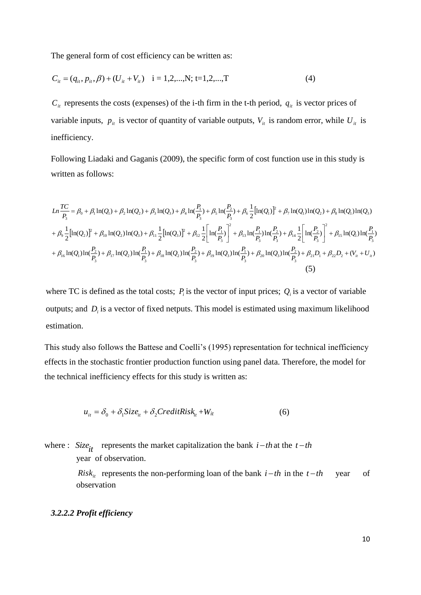The general form of cost efficiency can be written as:

$$
C_{it} = (q_{it}, p_{it}, \beta) + (U_{it} + V_{it}) \quad i = 1, 2, ..., N; t = 1, 2, ..., T
$$
 (4)

 $C_{it}$  represents the costs (expenses) of the i-th firm in the t-th period,  $q_{it}$  is vector prices of variable inputs,  $p_{it}$  is vector of quantity of variable outputs,  $V_{it}$  is random error, while  $U_{it}$  is inefficiency.

Following Liadaki and Gaganis (2009), the specific form of cost function use in this study is written as follows:

$$
Ln \frac{TC}{P_3} = \beta_0 + \beta_1 \ln(Q_1) + \beta_2 \ln(Q_2) + \beta_3 \ln(Q_3) + \beta_4 \ln(\frac{P_1}{P_3}) + \beta_5 \ln(\frac{P_2}{P_3}) + \beta_6 \frac{1}{2} [\ln(Q_1)]^2 + \beta_7 \ln(Q_1) \ln(Q_2) + \beta_8 \ln(Q_1) \ln(Q_3)
$$
  
+  $\beta_9 \frac{1}{2} [\ln(Q_2)]^2 + \beta_{10} \ln(Q_2) \ln(Q_3) + \beta_{11} \frac{1}{2} [\ln(Q_3)]^2 + \beta_{12} \frac{1}{2} [\ln(\frac{P_1}{P_3})]^2 + \beta_{13} \ln(\frac{P_1}{P_3}) \ln(\frac{P_2}{P_3}) + \beta_{14} \frac{1}{2} [\ln(\frac{P_2}{P_3})]^2 + \beta_{15} \ln(Q_1) \ln(\frac{P_1}{P_3})$   
+  $\beta_{16} \ln(Q_1) \ln(\frac{P_2}{P_3}) + \beta_{17} \ln(Q_2) \ln(\frac{P_1}{P_3}) + \beta_{18} \ln(Q_2) \ln(\frac{P_2}{P_3}) + \beta_{19} \ln(Q_3) \ln(\frac{P_1}{P_3}) + \beta_{20} \ln(Q_3) \ln(\frac{P_2}{P_3}) + \beta_{21} D_1 + \beta_{22} D_2 + (V_{11} + U_{11})$   
(5)

where TC is defined as the total costs;  $P_i$  is the vector of input prices;  $Q_i$  is a vector of variable outputs; and  $D_i$  is a vector of fixed netputs. This model is estimated using maximum likelihood estimation.

This study also follows the Battese and Coelli's (1995) representation for technical inefficiency effects in the stochastic frontier production function using panel data. Therefore, the model for the technical inefficiency effects for this study is written as:

$$
u_{it} = \delta_0 + \delta_1 \text{Size}_{it} + \delta_2 \text{CreditRisk}_{it} + W_{it}
$$
 (6)

where : *Size*<sub>it</sub> represents the market capitalization the bank  $i-th$  at the  $t-th$ year of observation.

> *Risk<sub>it</sub>* represents the non-performing loan of the bank  $i-th$  in the  $t-th$  year of observation

### *3.2.2.2 Profit efficiency*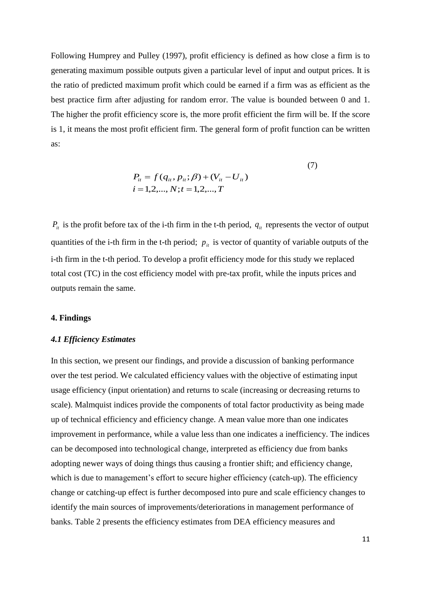Following Humprey and Pulley (1997), profit efficiency is defined as how close a firm is to generating maximum possible outputs given a particular level of input and output prices. It is the ratio of predicted maximum profit which could be earned if a firm was as efficient as the best practice firm after adjusting for random error. The value is bounded between 0 and 1. The higher the profit efficiency score is, the more profit efficient the firm will be. If the score is 1, it means the most profit efficient firm. The general form of profit function can be written as:

$$
P_{it} = f(q_{it}, p_{it}; \beta) + (V_{it} - U_{it})
$$
  
\n
$$
i = 1, 2, ..., N; t = 1, 2, ..., T
$$
 (7)

 $P_{it}$  is the profit before tax of the i-th firm in the t-th period,  $q_{it}$  represents the vector of output quantities of the i-th firm in the t-th period;  $p_{it}$  is vector of quantity of variable outputs of the i-th firm in the t-th period. To develop a profit efficiency mode for this study we replaced total cost (TC) in the cost efficiency model with pre-tax profit, while the inputs prices and outputs remain the same.

### **4. Findings**

### *4.1 Efficiency Estimates*

In this section, we present our findings, and provide a discussion of banking performance over the test period. We calculated efficiency values with the objective of estimating input usage efficiency (input orientation) and returns to scale (increasing or decreasing returns to scale). Malmquist indices provide the components of total factor productivity as being made up of technical efficiency and efficiency change. A mean value more than one indicates improvement in performance, while a value less than one indicates a inefficiency. The indices can be decomposed into technological change, interpreted as efficiency due from banks adopting newer ways of doing things thus causing a frontier shift; and efficiency change, which is due to management's effort to secure higher efficiency (catch-up). The efficiency change or catching-up effect is further decomposed into pure and scale efficiency changes to identify the main sources of improvements/deteriorations in management performance of banks. Table 2 presents the efficiency estimates from DEA efficiency measures and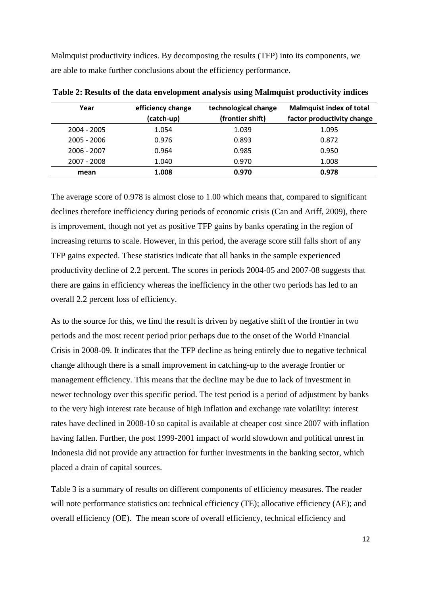Malmquist productivity indices. By decomposing the results (TFP) into its components, we are able to make further conclusions about the efficiency performance.

| Year          | efficiency change | technological change | <b>Malmquist index of total</b> |
|---------------|-------------------|----------------------|---------------------------------|
|               | (catch-up)        | (frontier shift)     | factor productivity change      |
| 2004 - 2005   | 1.054             | 1.039                | 1.095                           |
| $2005 - 2006$ | 0.976             | 0.893                | 0.872                           |
| $2006 - 2007$ | 0.964             | 0.985                | 0.950                           |
| 2007 - 2008   | 1.040             | 0.970                | 1.008                           |
| mean          | 1.008             | 0.970                | 0.978                           |

**Table 2: Results of the data envelopment analysis using Malmquist productivity indices**

The average score of 0.978 is almost close to 1.00 which means that, compared to significant declines therefore inefficiency during periods of economic crisis (Can and Ariff, 2009), there is improvement, though not yet as positive TFP gains by banks operating in the region of increasing returns to scale. However, in this period, the average score still falls short of any TFP gains expected. These statistics indicate that all banks in the sample experienced productivity decline of 2.2 percent. The scores in periods 2004-05 and 2007-08 suggests that there are gains in efficiency whereas the inefficiency in the other two periods has led to an overall 2.2 percent loss of efficiency.

As to the source for this, we find the result is driven by negative shift of the frontier in two periods and the most recent period prior perhaps due to the onset of the World Financial Crisis in 2008-09. It indicates that the TFP decline as being entirely due to negative technical change although there is a small improvement in catching-up to the average frontier or management efficiency. This means that the decline may be due to lack of investment in newer technology over this specific period. The test period is a period of adjustment by banks to the very high interest rate because of high inflation and exchange rate volatility: interest rates have declined in 2008-10 so capital is available at cheaper cost since 2007 with inflation having fallen. Further, the post 1999-2001 impact of world slowdown and political unrest in Indonesia did not provide any attraction for further investments in the banking sector, which placed a drain of capital sources.

Table 3 is a summary of results on different components of efficiency measures. The reader will note performance statistics on: technical efficiency (TE); allocative efficiency (AE); and overall efficiency (OE). The mean score of overall efficiency, technical efficiency and

12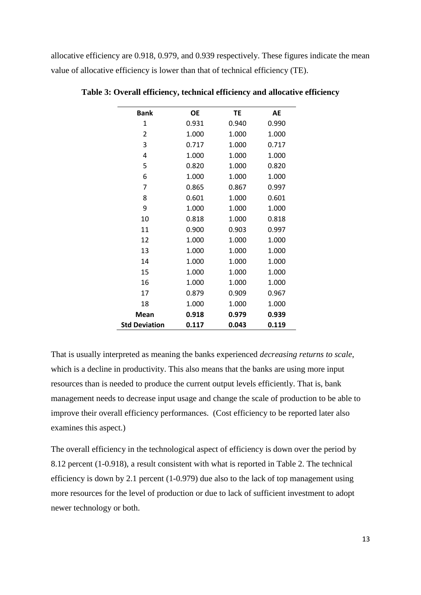allocative efficiency are 0.918, 0.979, and 0.939 respectively. These figures indicate the mean value of allocative efficiency is lower than that of technical efficiency (TE).

| <b>Bank</b>          | <b>OE</b> | <b>TE</b> | AE    |
|----------------------|-----------|-----------|-------|
| 1                    | 0.931     | 0.940     | 0.990 |
| $\overline{2}$       | 1.000     | 1.000     | 1.000 |
| 3                    | 0.717     | 1.000     | 0.717 |
| 4                    | 1.000     | 1.000     | 1.000 |
| 5                    | 0.820     | 1.000     | 0.820 |
| 6                    | 1.000     | 1.000     | 1.000 |
| 7                    | 0.865     | 0.867     | 0.997 |
| 8                    | 0.601     | 1.000     | 0.601 |
| 9                    | 1.000     | 1.000     | 1.000 |
| 10                   | 0.818     | 1.000     | 0.818 |
| 11                   | 0.900     | 0.903     | 0.997 |
| 12                   | 1.000     | 1.000     | 1.000 |
| 13                   | 1.000     | 1.000     | 1.000 |
| 14                   | 1.000     | 1.000     | 1.000 |
| 15                   | 1.000     | 1.000     | 1.000 |
| 16                   | 1.000     | 1.000     | 1.000 |
| 17                   | 0.879     | 0.909     | 0.967 |
| 18                   | 1.000     | 1.000     | 1.000 |
| Mean                 | 0.918     | 0.979     | 0.939 |
| <b>Std Deviation</b> | 0.117     | 0.043     | 0.119 |

**Table 3: Overall efficiency, technical efficiency and allocative efficiency**

That is usually interpreted as meaning the banks experienced *decreasing returns to scale*, which is a decline in productivity. This also means that the banks are using more input resources than is needed to produce the current output levels efficiently. That is, bank management needs to decrease input usage and change the scale of production to be able to improve their overall efficiency performances. (Cost efficiency to be reported later also examines this aspect.)

The overall efficiency in the technological aspect of efficiency is down over the period by 8.12 percent (1-0.918), a result consistent with what is reported in Table 2. The technical efficiency is down by 2.1 percent (1-0.979) due also to the lack of top management using more resources for the level of production or due to lack of sufficient investment to adopt newer technology or both.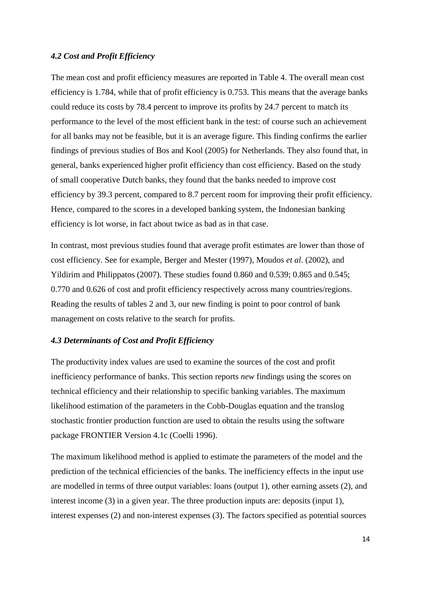# *4.2 Cost and Profit Efficiency*

The mean cost and profit efficiency measures are reported in Table 4. The overall mean cost efficiency is 1.784, while that of profit efficiency is 0.753. This means that the average banks could reduce its costs by 78.4 percent to improve its profits by 24.7 percent to match its performance to the level of the most efficient bank in the test: of course such an achievement for all banks may not be feasible, but it is an average figure. This finding confirms the earlier findings of previous studies of Bos and Kool (2005) for Netherlands. They also found that, in general, banks experienced higher profit efficiency than cost efficiency. Based on the study of small cooperative Dutch banks, they found that the banks needed to improve cost efficiency by 39.3 percent, compared to 8.7 percent room for improving their profit efficiency. Hence, compared to the scores in a developed banking system, the Indonesian banking efficiency is lot worse, in fact about twice as bad as in that case.

In contrast, most previous studies found that average profit estimates are lower than those of cost efficiency. See for example, Berger and Mester (1997), Moudos *et al*. (2002), and Yildirim and Philippatos (2007). These studies found 0.860 and 0.539; 0.865 and 0.545; 0.770 and 0.626 of cost and profit efficiency respectively across many countries/regions. Reading the results of tables 2 and 3, our new finding is point to poor control of bank management on costs relative to the search for profits.

### *4.3 Determinants of Cost and Profit Efficiency*

The productivity index values are used to examine the sources of the cost and profit inefficiency performance of banks. This section reports *new* findings using the scores on technical efficiency and their relationship to specific banking variables. The maximum likelihood estimation of the parameters in the Cobb-Douglas equation and the translog stochastic frontier production function are used to obtain the results using the software package FRONTIER Version 4.1c (Coelli 1996).

The maximum likelihood method is applied to estimate the parameters of the model and the prediction of the technical efficiencies of the banks. The inefficiency effects in the input use are modelled in terms of three output variables: loans (output 1), other earning assets (2), and interest income (3) in a given year. The three production inputs are: deposits (input 1), interest expenses (2) and non-interest expenses (3). The factors specified as potential sources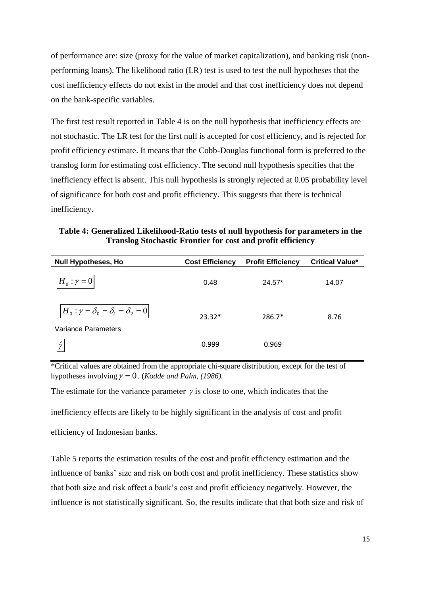of performance are: size (proxy for the value of market capitalization), and banking risk (nonperforming loans). The likelihood ratio (LR) test is used to test the null hypotheses that the cost inefficiency effects do not exist in the model and that cost inefficiency does not depend on the bank-specific variables.

The first test result reported in Table 4 is on the null hypothesis that inefficiency effects are not stochastic. The LR test for the first null is accepted for cost efficiency, and is rejected for profit efficiency estimate. It means that the Cobb-Douglas functional form is preferred to the translog form for estimating cost efficiency. The second null hypothesis specifies that the inefficiency effect is absent. This null hypothesis is strongly rejected at 0.05 probability level of significance for both cost and profit efficiency. This suggests that there is technical inefficiency.

**Table 4: Generalized Likelihood-Ratio tests of null hypothesis for parameters in the Translog Stochastic Frontier for cost and profit efficiency**

| <b>Null Hypotheses, Ho</b>                                                | <b>Cost Efficiency</b> | <b>Profit Efficiency</b> | <b>Critical Value*</b> |
|---------------------------------------------------------------------------|------------------------|--------------------------|------------------------|
| $H_0: \gamma = 0$                                                         | 0.48                   | $24.57*$                 | 14.07                  |
| $H_0: \gamma = \delta_0 = \delta_1 = \delta_2 = 0$<br>Variance Parameters | $23.32*$               | $286.7*$                 | 8.76                   |
| $\hat{\nu}$                                                               | 0.999                  | 0.969                    |                        |

\*Critical values are obtained from the appropriate chi-square distribution, except for the test of hypotheses involving  $\gamma = 0$ . (*Kodde and Palm, (1986)*.

The estimate for the variance parameter  $\gamma$  is close to one, which indicates that the inefficiency effects are likely to be highly significant in the analysis of cost and profit

efficiency of Indonesian banks.

Table 5 reports the estimation results of the cost and profit efficiency estimation and the influence of banks' size and risk on both cost and profit inefficiency. These statistics show that both size and risk affect a bank's cost and profit efficiency negatively. However, the influence is not statistically significant. So, the results indicate that that both size and risk of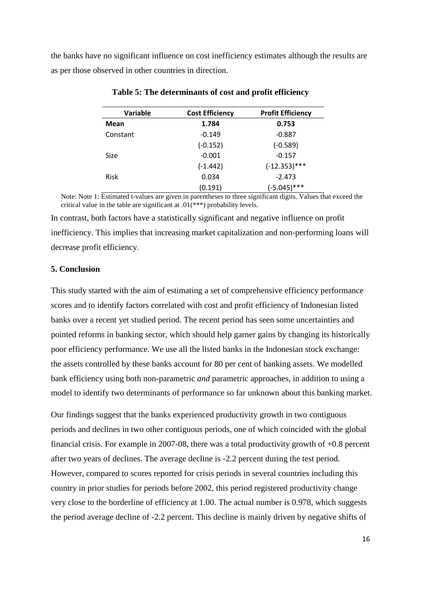the banks have no significant influence on cost inefficiency estimates although the results are as per those observed in other countries in direction.

| Variable    | <b>Cost Efficiency</b> | <b>Profit Efficiency</b> |
|-------------|------------------------|--------------------------|
| Mean        | 1.784                  | 0.753                    |
| Constant    | $-0.149$               | $-0.887$                 |
|             | $(-0.152)$             | $(-0.589)$               |
| <b>Size</b> | $-0.001$               | $-0.157$                 |
|             | $(-1.442)$             | $(-12.353)$ ***          |
| <b>Risk</b> | 0.034                  | $-2.473$                 |
|             | (0.191)                | $(-5.045)$ ***           |

**Table 5: The determinants of cost and profit efficiency**

Note: Note 1: Estimated t-values are given in parentheses to three significant digits. Values that exceed the critical value in the table are significant at  $.01$ (\*\*\*) probability levels.

In contrast, both factors have a statistically significant and negative influence on profit inefficiency. This implies that increasing market capitalization and non-performing loans will decrease profit efficiency.

# **5. Conclusion**

This study started with the aim of estimating a set of comprehensive efficiency performance scores and to identify factors correlated with cost and profit efficiency of Indonesian listed banks over a recent yet studied period. The recent period has seen some uncertainties and pointed reforms in banking sector, which should help garner gains by changing its historically poor efficiency performance. We use all the listed banks in the Indonesian stock exchange: the assets controlled by these banks account for 80 per cent of banking assets. We modelled bank efficiency using both non-parametric *and* parametric approaches, in addition to using a model to identify two determinants of performance so far unknown about this banking market.

Our findings suggest that the banks experienced productivity growth in two contiguous periods and declines in two other contiguous periods, one of which coincided with the global financial crisis. For example in 2007-08, there was a total productivity growth of +0.8 percent after two years of declines. The average decline is -2.2 percent during the test period. However, compared to scores reported for crisis periods in several countries including this country in prior studies for periods before 2002, this period registered productivity change very close to the borderline of efficiency at 1.00. The actual number is 0.978, which suggests the period average decline of -2.2 percent. This decline is mainly driven by negative shifts of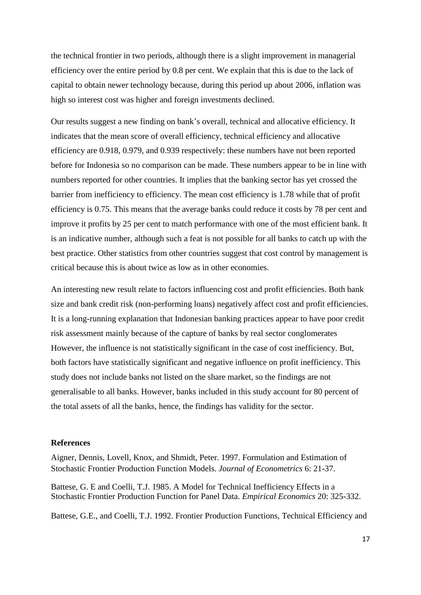the technical frontier in two periods, although there is a slight improvement in managerial efficiency over the entire period by 0.8 per cent. We explain that this is due to the lack of capital to obtain newer technology because, during this period up about 2006, inflation was high so interest cost was higher and foreign investments declined.

Our results suggest a new finding on bank's overall, technical and allocative efficiency. It indicates that the mean score of overall efficiency, technical efficiency and allocative efficiency are 0.918, 0.979, and 0.939 respectively: these numbers have not been reported before for Indonesia so no comparison can be made. These numbers appear to be in line with numbers reported for other countries. It implies that the banking sector has yet crossed the barrier from inefficiency to efficiency. The mean cost efficiency is 1.78 while that of profit efficiency is 0.75. This means that the average banks could reduce it costs by 78 per cent and improve it profits by 25 per cent to match performance with one of the most efficient bank. It is an indicative number, although such a feat is not possible for all banks to catch up with the best practice. Other statistics from other countries suggest that cost control by management is critical because this is about twice as low as in other economies.

An interesting new result relate to factors influencing cost and profit efficiencies. Both bank size and bank credit risk (non-performing loans) negatively affect cost and profit efficiencies. It is a long-running explanation that Indonesian banking practices appear to have poor credit risk assessment mainly because of the capture of banks by real sector conglomerates However, the influence is not statistically significant in the case of cost inefficiency. But, both factors have statistically significant and negative influence on profit inefficiency. This study does not include banks not listed on the share market, so the findings are not generalisable to all banks. However, banks included in this study account for 80 percent of the total assets of all the banks, hence, the findings has validity for the sector.

### **References**

Aigner, Dennis, Lovell, Knox, and Shmidt, Peter. 1997. Formulation and Estimation of Stochastic Frontier Production Function Models. *Journal of Econometrics* 6: 21-37.

Battese, G. E and Coelli, T.J. 1985. A Model for Technical Inefficiency Effects in a Stochastic Frontier Production Function for Panel Data. *Empirical Economics* 20: 325-332.

Battese, G.E., and Coelli, T.J. 1992. Frontier Production Functions, Technical Efficiency and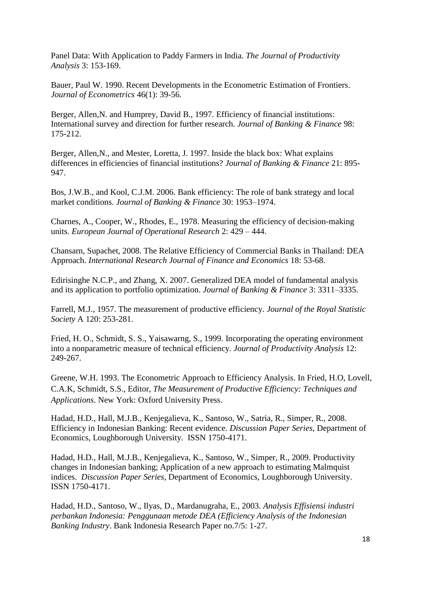Panel Data: With Application to Paddy Farmers in India. *The Journal of Productivity Analysis* 3: 153-169.

Bauer, Paul W. 1990. Recent Developments in the Econometric Estimation of Frontiers. *Journal of Econometrics* 46(1): 39-56.

Berger, Allen, N. and Humprey, David B., 1997. Efficiency of financial institutions: International survey and direction for further research. *Journal of Banking & Finance* 98: 175-212.

Berger, Allen,N., and Mester, Loretta, J. 1997. Inside the black box: What explains differences in efficiencies of financial institutions? *Journal of Banking & Finance* 21: 895- 947.

Bos, J.W.B., and Kool, C.J.M. 2006. Bank efficiency: The role of bank strategy and local market conditions. *Journal of Banking & Finance* 30: 1953–1974.

Charnes, A., Cooper, W., Rhodes, E., 1978. Measuring the efficiency of decision-making units. *European Journal of Operational Research* 2: 429 – 444.

Chansarn, Supachet, 2008. The Relative Efficiency of Commercial Banks in Thailand: DEA Approach. *International Research Journal of Finance and Economics* 18: 53-68.

Edirisinghe N.C.P., and Zhang, X. 2007. Generalized DEA model of fundamental analysis and its application to portfolio optimization. *Journal of Banking & Finance* 3: 3311–3335.

Farrell, M.J., 1957. The measurement of productive efficiency. *Journal of the Royal Statistic Society* A 120: 253-281.

Fried, H. O., Schmidt, S. S., Yaisawarng, S., 1999. Incorporating the operating environment into a nonparametric measure of technical efficiency. *Journal of Productivity Analysis* 12: 249-267.

Greene, W.H. 1993. The Econometric Approach to Efficiency Analysis. In Fried, H.O, Lovell, C.A.K, Schmidt, S.S., Editor, *The Measurement of Productive Efficiency: Techniques and Applications*. New York: Oxford University Press.

Hadad, H.D., Hall, M.J.B., Kenjegalieva, K., Santoso, W., Satria, R., Simper, R., 2008. Efficiency in Indonesian Banking: Recent evidence. *Discussion Paper Series*, Department of Economics, Loughborough University. ISSN 1750-4171.

Hadad, H.D., Hall, M.J.B., Kenjegalieva, K., Santoso, W., Simper, R., 2009. Productivity changes in Indonesian banking; Application of a new approach to estimating Malmquist indices. *Discussion Paper Series*, Department of Economics, Loughborough University. ISSN 1750-4171.

Hadad, H.D., Santoso, W., Ilyas, D., Mardanugraha, E., 2003. *Analysis Effisiensi industri perbankan Indonesia: Penggunaan metode DEA (Efficiency Analysis of the Indonesian Banking Industry*. Bank Indonesia Research Paper no.7/5: 1-27.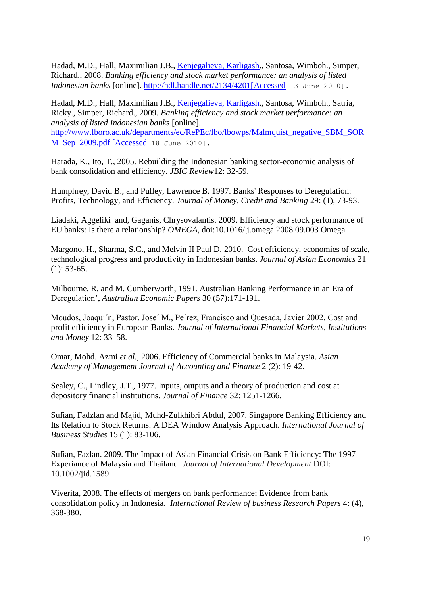Hadad, M.D., Hall, Maximilian J.B., [Kenjegalieva, Karligash.](https://dspace.lboro.ac.uk/dspace-jspui/browse?type=author&value=Kenjegalieva%2C+Karligash), Santosa, Wimboh., Simper, Richard., 2008. *Banking efficiency and stock market performance: an analysis of listed Indonesian banks* [online]. [http://hdl.handle.net/2134/4201\[Accessed](http://hdl.handle.net/2134/4201%5bAccessed) 13 June 2010].

Hadad, M.D., Hall, Maximilian J.B., [Kenjegalieva, Karligash.](https://dspace.lboro.ac.uk/dspace-jspui/browse?type=author&value=Kenjegalieva%2C+Karligash), Santosa, Wimboh., Satria, Ricky., Simper, Richard., 2009. *Banking efficiency and stock market performance: an analysis of listed Indonesian banks* [online]. [http://www.lboro.ac.uk/departments/ec/RePEc/lbo/lbowps/Malmquist\\_negative\\_SBM\\_SOR](http://www.lboro.ac.uk/departments/ec/RePEc/lbo/lbowps/Malmquist_negative_SBM_SORM_Sep_2009.pdf%20%5bAccessed) [M\\_Sep\\_2009.pdf \[Accessed](http://www.lboro.ac.uk/departments/ec/RePEc/lbo/lbowps/Malmquist_negative_SBM_SORM_Sep_2009.pdf%20%5bAccessed) 18 June 2010].

Harada, K., Ito, T., 2005. Rebuilding the Indonesian banking sector-economic analysis of bank consolidation and efficiency. *JBIC Review*12: 32-59.

Humphrey, David B., and Pulley, Lawrence B. 1997. Banks' Responses to Deregulation: Profits, Technology, and Efficiency. *Journal of Money, Credit and Banking* 29: (1), 73-93.

Liadaki, Aggeliki and, Gaganis, Chrysovalantis. 2009. Efficiency and stock performance of EU banks: Is there a relationship? *OMEGA*, doi:10.1016/ j.omega.2008.09.003 Omega

Margono, H., Sharma, S.C., and Melvin II Paul D. 2010. Cost efficiency, economies of scale, technological progress and productivity in Indonesian banks. *Journal of Asian Economics* 21  $(1): 53-65.$ 

Milbourne, R. and M. Cumberworth, 1991. Australian Banking Performance in an Era of Deregulation', *Australian Economic Papers* 30 (57):171-191.

Moudos, Joaquı´n, Pastor, Jose´ M., Pe´rez, Francisco and Quesada, Javier 2002. Cost and profit efficiency in European Banks. *Journal of International Financial Markets, Institutions and Money* 12: 33–58.

Omar, Mohd. Azmi *et al.,* 2006. Efficiency of Commercial banks in Malaysia. *Asian Academy of Management Journal of Accounting and Finance* 2 (2): 19-42.

Sealey, C., Lindley, J.T., 1977. Inputs, outputs and a theory of production and cost at depository financial institutions. *Journal of Finance* 32: 1251-1266.

Sufian, Fadzlan and Majid, Muhd-Zulkhibri Abdul, 2007. Singapore Banking Efficiency and Its Relation to Stock Returns: A DEA Window Analysis Approach. *International Journal of Business Studies* 15 (1): 83-106.

Sufian, Fazlan. 2009. The Impact of Asian Financial Crisis on Bank Efficiency: The 1997 Experiance of Malaysia and Thailand. *Journal of International Development* DOI: 10.1002/jid.1589.

Viverita, 2008. The effects of mergers on bank performance; Evidence from bank consolidation policy in Indonesia. *International Review of business Research Papers* 4: (4), 368-380.